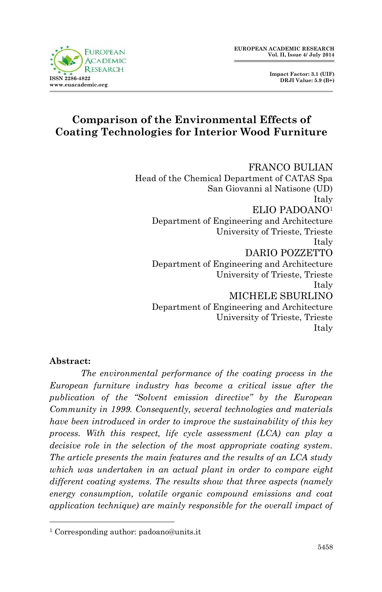

 **Impact Factor: 3.1 (UIF) DRJI Value: 5.9 (B+)**

# **Comparison of the Environmental Effects of Coating Technologies for Interior Wood Furniture**

FRANCO BULIAN Head of the Chemical Department of CATAS Spa San Giovanni al Natisone (UD) Italy ELIO PADOANO<sup>1</sup> Department of Engineering and Architecture University of Trieste, Trieste Italy DARIO POZZETTO Department of Engineering and Architecture University of Trieste, Trieste Italy MICHELE SBURLINO Department of Engineering and Architecture University of Trieste, Trieste Italy

### **Abstract:**

1

*The environmental performance of the coating process in the European furniture industry has become a critical issue after the publication of the "Solvent emission directive" by the European Community in 1999. Consequently, several technologies and materials have been introduced in order to improve the sustainability of this key process. With this respect, life cycle assessment (LCA) can play a decisive role in the selection of the most appropriate coating system. The article presents the main features and the results of an LCA study which was undertaken in an actual plant in order to compare eight different coating systems. The results show that three aspects (namely energy consumption, volatile organic compound emissions and coat application technique) are mainly responsible for the overall impact of* 

<sup>1</sup> Corresponding author: padoano@units.it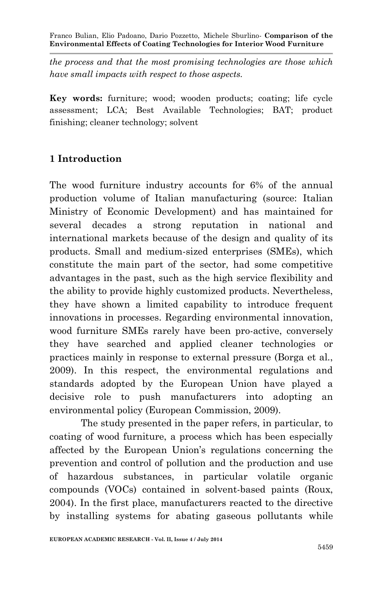*the process and that the most promising technologies are those which have small impacts with respect to those aspects.*

**Key words:** furniture; wood; wooden products; coating; life cycle assessment; LCA; Best Available Technologies; BAT; product finishing; cleaner technology; solvent

# **1 Introduction**

The wood furniture industry accounts for 6% of the annual production volume of Italian manufacturing (source: Italian Ministry of Economic Development) and has maintained for several decades a strong reputation in national and international markets because of the design and quality of its products. Small and medium-sized enterprises (SMEs), which constitute the main part of the sector, had some competitive advantages in the past, such as the high service flexibility and the ability to provide highly customized products. Nevertheless, they have shown a limited capability to introduce frequent innovations in processes. Regarding environmental innovation, wood furniture SMEs rarely have been pro-active, conversely they have searched and applied cleaner technologies or practices mainly in response to external pressure (Borga et al., 2009). In this respect, the environmental regulations and standards adopted by the European Union have played a decisive role to push manufacturers into adopting an environmental policy (European Commission, 2009).

The study presented in the paper refers, in particular, to coating of wood furniture, a process which has been especially affected by the European Union's regulations concerning the prevention and control of pollution and the production and use of hazardous substances, in particular volatile organic compounds (VOCs) contained in solvent-based paints (Roux, 2004). In the first place, manufacturers reacted to the directive by installing systems for abating gaseous pollutants while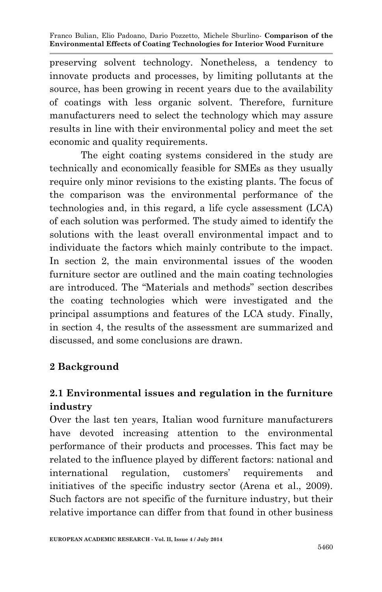preserving solvent technology. Nonetheless, a tendency to innovate products and processes, by limiting pollutants at the source, has been growing in recent years due to the availability of coatings with less organic solvent. Therefore, furniture manufacturers need to select the technology which may assure results in line with their environmental policy and meet the set economic and quality requirements.

The eight coating systems considered in the study are technically and economically feasible for SMEs as they usually require only minor revisions to the existing plants. The focus of the comparison was the environmental performance of the technologies and, in this regard, a life cycle assessment (LCA) of each solution was performed. The study aimed to identify the solutions with the least overall environmental impact and to individuate the factors which mainly contribute to the impact. In section 2, the main environmental issues of the wooden furniture sector are outlined and the main coating technologies are introduced. The "Materials and methods" section describes the coating technologies which were investigated and the principal assumptions and features of the LCA study. Finally, in section 4, the results of the assessment are summarized and discussed, and some conclusions are drawn.

# **2 Background**

# **2.1 Environmental issues and regulation in the furniture industry**

Over the last ten years, Italian wood furniture manufacturers have devoted increasing attention to the environmental performance of their products and processes. This fact may be related to the influence played by different factors: national and international regulation, customers' requirements and initiatives of the specific industry sector (Arena et al., 2009). Such factors are not specific of the furniture industry, but their relative importance can differ from that found in other business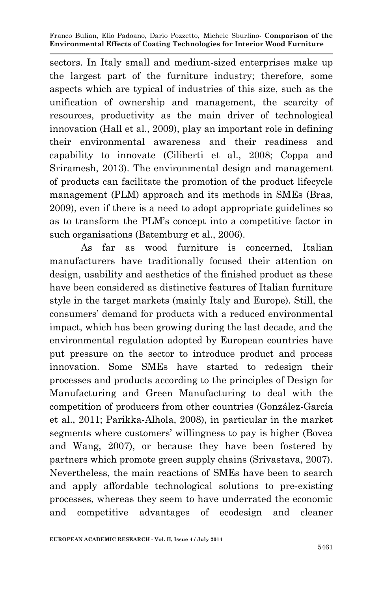sectors. In Italy small and medium-sized enterprises make up the largest part of the furniture industry; therefore, some aspects which are typical of industries of this size, such as the unification of ownership and management, the scarcity of resources, productivity as the main driver of technological innovation (Hall et al., 2009), play an important role in defining their environmental awareness and their readiness and capability to innovate (Ciliberti et al., 2008; Coppa and Sriramesh, 2013). The environmental design and management of products can facilitate the promotion of the product lifecycle management (PLM) approach and its methods in SMEs (Bras, 2009), even if there is a need to adopt appropriate guidelines so as to transform the PLM's concept into a competitive factor in such organisations (Batemburg et al., 2006).

As far as wood furniture is concerned, Italian manufacturers have traditionally focused their attention on design, usability and aesthetics of the finished product as these have been considered as distinctive features of Italian furniture style in the target markets (mainly Italy and Europe). Still, the consumers' demand for products with a reduced environmental impact, which has been growing during the last decade, and the environmental regulation adopted by European countries have put pressure on the sector to introduce product and process innovation. Some SMEs have started to redesign their processes and products according to the principles of Design for Manufacturing and Green Manufacturing to deal with the competition of producers from other countries (González-García et al., 2011; Parikka-Alhola, 2008), in particular in the market segments where customers' willingness to pay is higher (Bovea and Wang, 2007), or because they have been fostered by partners which promote green supply chains (Srivastava, 2007). Nevertheless, the main reactions of SMEs have been to search and apply affordable technological solutions to pre-existing processes, whereas they seem to have underrated the economic and competitive advantages of ecodesign and cleaner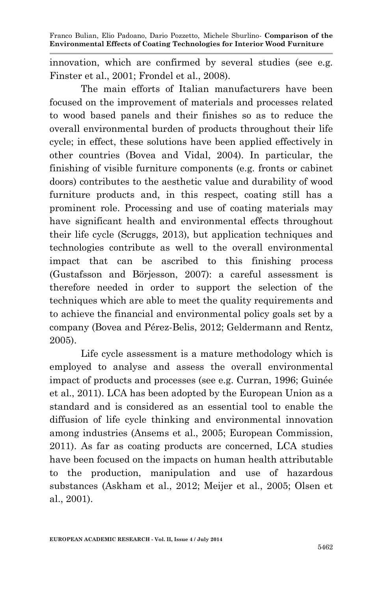innovation, which are confirmed by several studies (see e.g. Finster et al., 2001; Frondel et al., 2008).

The main efforts of Italian manufacturers have been focused on the improvement of materials and processes related to wood based panels and their finishes so as to reduce the overall environmental burden of products throughout their life cycle; in effect, these solutions have been applied effectively in other countries (Bovea and Vidal, 2004). In particular, the finishing of visible furniture components (e.g. fronts or cabinet doors) contributes to the aesthetic value and durability of wood furniture products and, in this respect, coating still has a prominent role. Processing and use of coating materials may have significant health and environmental effects throughout their life cycle (Scruggs, 2013), but application techniques and technologies contribute as well to the overall environmental impact that can be ascribed to this finishing process (Gustafsson and Börjesson, 2007): a careful assessment is therefore needed in order to support the selection of the techniques which are able to meet the quality requirements and to achieve the financial and environmental policy goals set by a company (Bovea and Pérez-Belis, 2012; Geldermann and Rentz, 2005).

Life cycle assessment is a mature methodology which is employed to analyse and assess the overall environmental impact of products and processes (see e.g. Curran, 1996; Guinée et al., 2011). LCA has been adopted by the European Union as a standard and is considered as an essential tool to enable the diffusion of life cycle thinking and environmental innovation among industries (Ansems et al., 2005; European Commission, 2011). As far as coating products are concerned, LCA studies have been focused on the impacts on human health attributable to the production, manipulation and use of hazardous substances (Askham et al., 2012; Meijer et al., 2005; Olsen et al., 2001).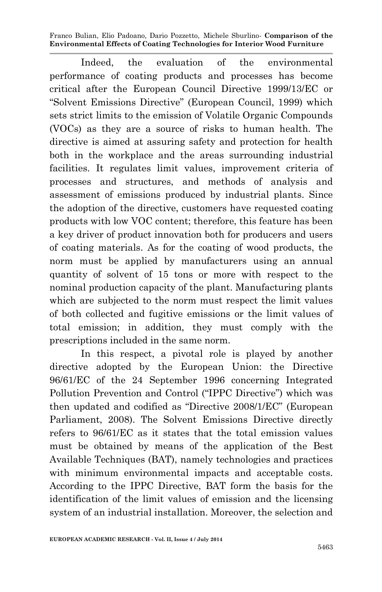Indeed, the evaluation of the environmental performance of coating products and processes has become critical after the European Council Directive 1999/13/EC or "Solvent Emissions Directive" (European Council, 1999) which sets strict limits to the emission of Volatile Organic Compounds (VOCs) as they are a source of risks to human health. The directive is aimed at assuring safety and protection for health both in the workplace and the areas surrounding industrial facilities. It regulates limit values, improvement criteria of processes and structures, and methods of analysis and assessment of emissions produced by industrial plants. Since the adoption of the directive, customers have requested coating products with low VOC content; therefore, this feature has been a key driver of product innovation both for producers and users of coating materials. As for the coating of wood products, the norm must be applied by manufacturers using an annual quantity of solvent of 15 tons or more with respect to the nominal production capacity of the plant. Manufacturing plants which are subjected to the norm must respect the limit values of both collected and fugitive emissions or the limit values of total emission; in addition, they must comply with the prescriptions included in the same norm.

In this respect, a pivotal role is played by another directive adopted by the European Union: the Directive 96/61/EC of the 24 September 1996 concerning Integrated Pollution Prevention and Control ("IPPC Directive") which was then updated and codified as "Directive 2008/1/EC" (European Parliament, 2008). The Solvent Emissions Directive directly refers to 96/61/EC as it states that the total emission values must be obtained by means of the application of the Best Available Techniques (BAT), namely technologies and practices with minimum environmental impacts and acceptable costs. According to the IPPC Directive, BAT form the basis for the identification of the limit values of emission and the licensing system of an industrial installation. Moreover, the selection and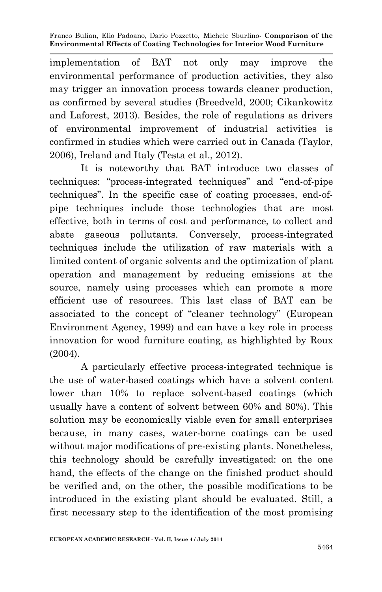implementation of BAT not only may improve the environmental performance of production activities, they also may trigger an innovation process towards cleaner production, as confirmed by several studies (Breedveld, 2000; Cikankowitz and Laforest, 2013). Besides, the role of regulations as drivers of environmental improvement of industrial activities is confirmed in studies which were carried out in Canada (Taylor, 2006), Ireland and Italy (Testa et al., 2012).

It is noteworthy that BAT introduce two classes of techniques: "process-integrated techniques" and "end-of-pipe techniques". In the specific case of coating processes, end-ofpipe techniques include those technologies that are most effective, both in terms of cost and performance, to collect and abate gaseous pollutants. Conversely, process-integrated techniques include the utilization of raw materials with a limited content of organic solvents and the optimization of plant operation and management by reducing emissions at the source, namely using processes which can promote a more efficient use of resources. This last class of BAT can be associated to the concept of "cleaner technology" (European Environment Agency, 1999) and can have a key role in process innovation for wood furniture coating, as highlighted by Roux (2004).

A particularly effective process-integrated technique is the use of water-based coatings which have a solvent content lower than 10% to replace solvent-based coatings (which usually have a content of solvent between 60% and 80%). This solution may be economically viable even for small enterprises because, in many cases, water-borne coatings can be used without major modifications of pre-existing plants. Nonetheless, this technology should be carefully investigated: on the one hand, the effects of the change on the finished product should be verified and, on the other, the possible modifications to be introduced in the existing plant should be evaluated. Still, a first necessary step to the identification of the most promising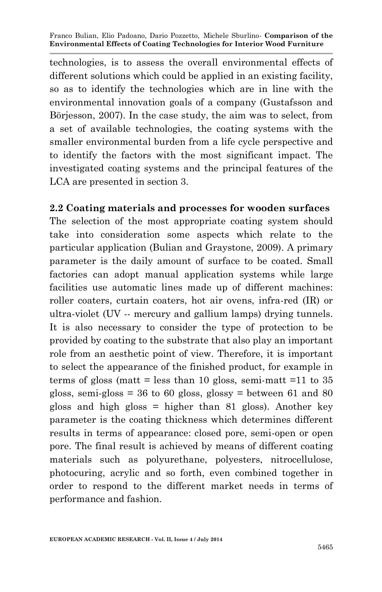technologies, is to assess the overall environmental effects of different solutions which could be applied in an existing facility, so as to identify the technologies which are in line with the environmental innovation goals of a company (Gustafsson and Börjesson, 2007). In the case study, the aim was to select, from a set of available technologies, the coating systems with the smaller environmental burden from a life cycle perspective and to identify the factors with the most significant impact. The investigated coating systems and the principal features of the LCA are presented in section 3.

### **2.2 Coating materials and processes for wooden surfaces**

The selection of the most appropriate coating system should take into consideration some aspects which relate to the particular application (Bulian and Graystone, 2009). A primary parameter is the daily amount of surface to be coated. Small factories can adopt manual application systems while large facilities use automatic lines made up of different machines: roller coaters, curtain coaters, hot air ovens, infra-red (IR) or ultra-violet (UV -- mercury and gallium lamps) drying tunnels. It is also necessary to consider the type of protection to be provided by coating to the substrate that also play an important role from an aesthetic point of view. Therefore, it is important to select the appearance of the finished product, for example in terms of gloss (matt = less than 10 gloss, semi-matt = 11 to  $35$ ) gloss, semi-gloss =  $36$  to  $60$  gloss, glossy = between  $61$  and  $80$ gloss and high gloss = higher than 81 gloss). Another key parameter is the coating thickness which determines different results in terms of appearance: closed pore, semi-open or open pore. The final result is achieved by means of different coating materials such as polyurethane, polyesters, nitrocellulose, photocuring, acrylic and so forth, even combined together in order to respond to the different market needs in terms of performance and fashion.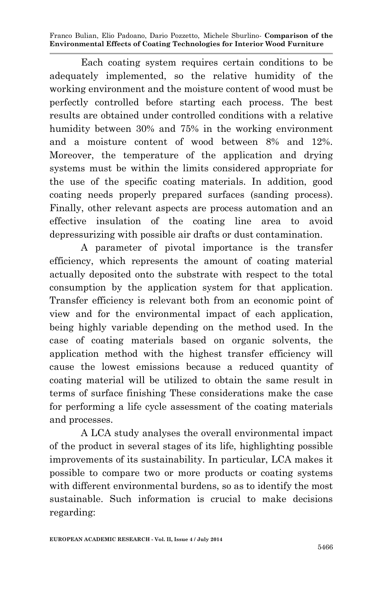Each coating system requires certain conditions to be adequately implemented, so the relative humidity of the working environment and the moisture content of wood must be perfectly controlled before starting each process. The best results are obtained under controlled conditions with a relative humidity between 30% and 75% in the working environment and a moisture content of wood between 8% and 12%. Moreover, the temperature of the application and drying systems must be within the limits considered appropriate for the use of the specific coating materials. In addition, good coating needs properly prepared surfaces (sanding process). Finally, other relevant aspects are process automation and an effective insulation of the coating line area to avoid depressurizing with possible air drafts or dust contamination.

A parameter of pivotal importance is the transfer efficiency, which represents the amount of coating material actually deposited onto the substrate with respect to the total consumption by the application system for that application. Transfer efficiency is relevant both from an economic point of view and for the environmental impact of each application, being highly variable depending on the method used. In the case of coating materials based on organic solvents, the application method with the highest transfer efficiency will cause the lowest emissions because a reduced quantity of coating material will be utilized to obtain the same result in terms of surface finishing These considerations make the case for performing a life cycle assessment of the coating materials and processes.

A LCA study analyses the overall environmental impact of the product in several stages of its life, highlighting possible improvements of its sustainability. In particular, LCA makes it possible to compare two or more products or coating systems with different environmental burdens, so as to identify the most sustainable. Such information is crucial to make decisions regarding: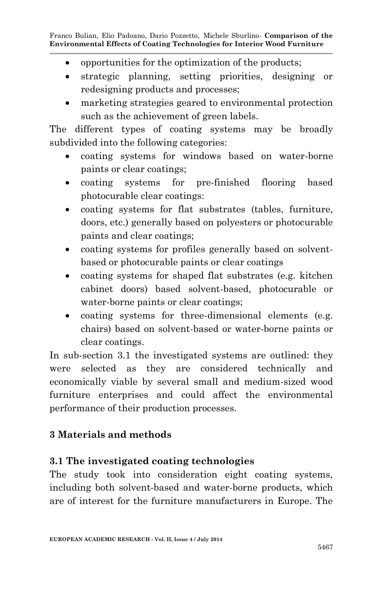- opportunities for the optimization of the products;
- strategic planning, setting priorities, designing or redesigning products and processes;
- marketing strategies geared to environmental protection such as the achievement of green labels.

The different types of coating systems may be broadly subdivided into the following categories:

- coating systems for windows based on water-borne paints or clear coatings;
- coating systems for pre-finished flooring based photocurable clear coatings:
- coating systems for flat substrates (tables, furniture, doors, etc.) generally based on polyesters or photocurable paints and clear coatings;
- coating systems for profiles generally based on solventbased or photocurable paints or clear coatings
- coating systems for shaped flat substrates (e.g. kitchen cabinet doors) based solvent-based, photocurable or water-borne paints or clear coatings;
- coating systems for three-dimensional elements (e.g. chairs) based on solvent-based or water-borne paints or clear coatings.

In sub-section 3.1 the investigated systems are outlined: they were selected as they are considered technically and economically viable by several small and medium-sized wood furniture enterprises and could affect the environmental performance of their production processes.

# **3 Materials and methods**

# **3.1 The investigated coating technologies**

The study took into consideration eight coating systems, including both solvent-based and water-borne products, which are of interest for the furniture manufacturers in Europe. The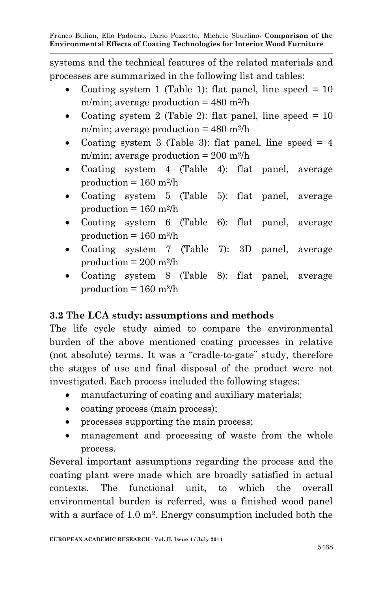systems and the technical features of the related materials and processes are summarized in the following list and tables:

- Coating system 1 (Table 1): flat panel, line speed  $= 10$ m/min; average production  $= 480$  m<sup>2</sup>/h
- Coating system 2 (Table 2): flat panel, line speed  $= 10$ m/min; average production  $= 480$  m<sup>2</sup>/h
- Coating system 3 (Table 3): flat panel, line speed  $= 4$ m/min; average production  $= 200$  m<sup>2</sup>/h
- Coating system 4 (Table 4): flat panel, average  $production = 160 \text{ m}^2/h$
- Coating system 5 (Table 5): flat panel, average  $production = 160 \text{ m}^2/h$
- Coating system 6 (Table 6): flat panel, average  $production = 160 m<sup>2</sup>/h$
- Coating system 7 (Table 7): 3D panel, average  $production = 200$  m<sup>2</sup>/h
- Coating system 8 (Table 8): flat panel, average  $production = 160 m<sup>2</sup>/h$

# **3.2 The LCA study: assumptions and methods**

The life cycle study aimed to compare the environmental burden of the above mentioned coating processes in relative (not absolute) terms. It was a "cradle-to-gate" study, therefore the stages of use and final disposal of the product were not investigated. Each process included the following stages:

- manufacturing of coating and auxiliary materials;
- coating process (main process);
- processes supporting the main process;
- management and processing of waste from the whole process.

Several important assumptions regarding the process and the coating plant were made which are broadly satisfied in actual contexts. The functional unit, to which the overall environmental burden is referred, was a finished wood panel with a surface of 1.0 m<sup>2</sup>. Energy consumption included both the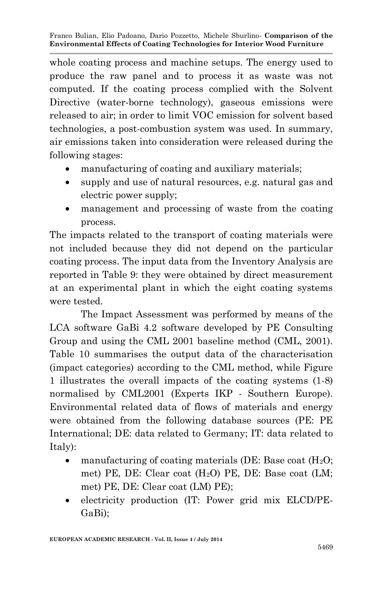whole coating process and machine setups. The energy used to produce the raw panel and to process it as waste was not computed. If the coating process complied with the Solvent Directive (water-borne technology), gaseous emissions were released to air; in order to limit VOC emission for solvent based technologies, a post-combustion system was used. In summary, air emissions taken into consideration were released during the following stages:

- manufacturing of coating and auxiliary materials;
- supply and use of natural resources, e.g. natural gas and electric power supply;
- management and processing of waste from the coating process.

The impacts related to the transport of coating materials were not included because they did not depend on the particular coating process. The input data from the Inventory Analysis are reported in Table 9: they were obtained by direct measurement at an experimental plant in which the eight coating systems were tested.

The Impact Assessment was performed by means of the LCA software GaBi 4.2 software developed by PE Consulting Group and using the CML 2001 baseline method (CML, 2001). Table 10 summarises the output data of the characterisation (impact categories) according to the CML method, while Figure 1 illustrates the overall impacts of the coating systems (1-8) normalised by CML2001 (Experts IKP - Southern Europe). Environmental related data of flows of materials and energy were obtained from the following database sources (PE: PE International; DE: data related to Germany; IT: data related to Italy):

- manufacturing of coating materials (DE: Base coat  $(H_2O;$ met) PE, DE: Clear coat  $(H<sub>2</sub>O)$  PE, DE: Base coat  $(LM;$ met) PE, DE: Clear coat (LM) PE);
- electricity production (IT: Power grid mix ELCD/PE-GaBi);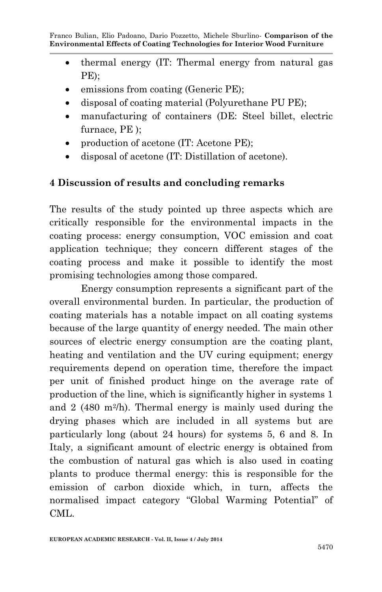- thermal energy (IT: Thermal energy from natural gas PE);
- emissions from coating (Generic PE);
- disposal of coating material (Polyurethane PU PE);
- manufacturing of containers (DE: Steel billet, electric furnace, PE );
- production of acetone (IT: Acetone PE);
- disposal of acetone (IT: Distillation of acetone).

## **4 Discussion of results and concluding remarks**

The results of the study pointed up three aspects which are critically responsible for the environmental impacts in the coating process: energy consumption, VOC emission and coat application technique; they concern different stages of the coating process and make it possible to identify the most promising technologies among those compared.

Energy consumption represents a significant part of the overall environmental burden. In particular, the production of coating materials has a notable impact on all coating systems because of the large quantity of energy needed. The main other sources of electric energy consumption are the coating plant, heating and ventilation and the UV curing equipment; energy requirements depend on operation time, therefore the impact per unit of finished product hinge on the average rate of production of the line, which is significantly higher in systems 1 and 2 (480 m<sup>2</sup>/h). Thermal energy is mainly used during the drying phases which are included in all systems but are particularly long (about 24 hours) for systems 5, 6 and 8. In Italy, a significant amount of electric energy is obtained from the combustion of natural gas which is also used in coating plants to produce thermal energy: this is responsible for the emission of carbon dioxide which, in turn, affects the normalised impact category "Global Warming Potential" of CML.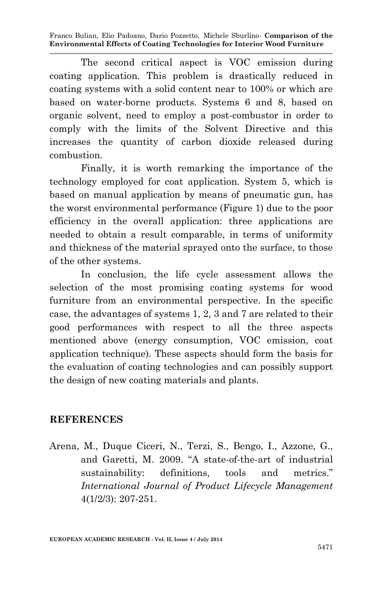The second critical aspect is VOC emission during coating application. This problem is drastically reduced in coating systems with a solid content near to 100% or which are based on water-borne products. Systems 6 and 8, based on organic solvent, need to employ a post-combustor in order to comply with the limits of the Solvent Directive and this increases the quantity of carbon dioxide released during combustion.

Finally, it is worth remarking the importance of the technology employed for coat application. System 5, which is based on manual application by means of pneumatic gun, has the worst environmental performance (Figure 1) due to the poor efficiency in the overall application: three applications are needed to obtain a result comparable, in terms of uniformity and thickness of the material sprayed onto the surface, to those of the other systems.

In conclusion, the life cycle assessment allows the selection of the most promising coating systems for wood furniture from an environmental perspective. In the specific case, the advantages of systems 1, 2, 3 and 7 are related to their good performances with respect to all the three aspects mentioned above (energy consumption, VOC emission, coat application technique). These aspects should form the basis for the evaluation of coating technologies and can possibly support the design of new coating materials and plants.

### **REFERENCES**

Arena, M., Duque Ciceri, N., Terzi, S., Bengo, I., Azzone, G., and Garetti, M. 2009. "A state-of-the-art of industrial sustainability: definitions, tools and metrics." *International Journal of Product Lifecycle Management* 4(1/2/3): 207-251.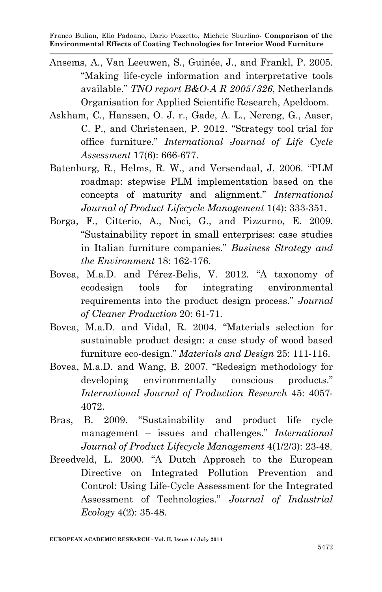- Ansems, A., Van Leeuwen, S., Guinée, J., and Frankl, P. 2005. "Making life-cycle information and interpretative tools available." *TNO report B&O-A R 2005/326*, Netherlands Organisation for Applied Scientific Research, Apeldoom.
- Askham, C., Hanssen, O. J. r., Gade, A. L., Nereng, G., Aaser, C. P., and Christensen, P. 2012. "Strategy tool trial for office furniture." *International Journal of Life Cycle Assessment* 17(6): 666-677.
- Batenburg, R., Helms, R. W., and Versendaal, J. 2006. "PLM roadmap: stepwise PLM implementation based on the concepts of maturity and alignment." *International Journal of Product Lifecycle Management* 1(4): 333-351.
- Borga, F., Citterio, A., Noci, G., and Pizzurno, E. 2009. "Sustainability report in small enterprises: case studies in Italian furniture companies." *Business Strategy and the Environment* 18: 162-176.
- Bovea, M.a.D. and Pérez-Belis, V. 2012. "A taxonomy of ecodesign tools for integrating environmental requirements into the product design process." *Journal of Cleaner Production* 20: 61-71.
- Bovea, M.a.D. and Vidal, R. 2004. "Materials selection for sustainable product design: a case study of wood based furniture eco-design." *Materials and Design* 25: 111-116.
- Bovea, M.a.D. and Wang, B. 2007. "Redesign methodology for developing environmentally conscious products." *International Journal of Production Research* 45: 4057- 4072.
- Bras, B. 2009. "Sustainability and product life cycle management – issues and challenges." *International Journal of Product Lifecycle Management* 4(1/2/3): 23-48.
- Breedveld, L. 2000. "A Dutch Approach to the European Directive on Integrated Pollution Prevention and Control: Using Life-Cycle Assessment for the Integrated Assessment of Technologies." *Journal of Industrial Ecology* 4(2): 35-48.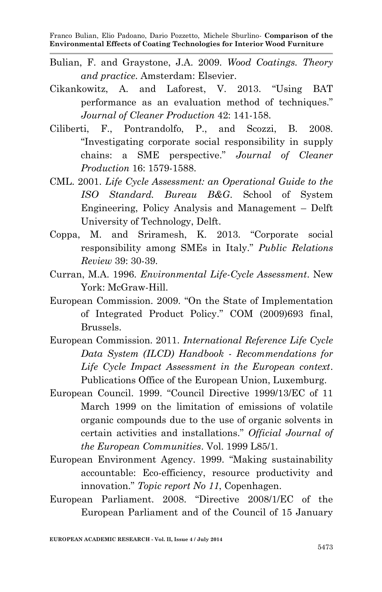- Bulian, F. and Graystone, J.A. 2009. *Wood Coatings. Theory and practice*. Amsterdam: Elsevier.
- Cikankowitz, A. and Laforest, V. 2013. "Using BAT performance as an evaluation method of techniques." *Journal of Cleaner Production* 42: 141-158.
- Ciliberti, F., Pontrandolfo, P., and Scozzi, B. 2008. "Investigating corporate social responsibility in supply chains: a SME perspective." *Journal of Cleaner Production* 16: 1579-1588.
- CML. 2001. *Life Cycle Assessment: an Operational Guide to the ISO Standard. Bureau B&G*. School of System Engineering, Policy Analysis and Management – Delft University of Technology, Delft.
- Coppa, M. and Sriramesh, K. 2013. "Corporate social responsibility among SMEs in Italy." *Public Relations Review* 39: 30-39.
- Curran, M.A. 1996. *Environmental Life-Cycle Assessment*. New York: McGraw-Hill.
- European Commission. 2009. "On the State of Implementation of Integrated Product Policy." COM (2009)693 final, Brussels.
- European Commission. 2011. *International Reference Life Cycle Data System (ILCD) Handbook - Recommendations for Life Cycle Impact Assessment in the European context*. Publications Office of the European Union, Luxemburg.
- European Council. 1999. "Council Directive 1999/13/EC of 11 March 1999 on the limitation of emissions of volatile organic compounds due to the use of organic solvents in certain activities and installations." *Official Journal of the European Communities*. Vol. 1999 L85/1.
- European Environment Agency. 1999. "Making sustainability accountable: Eco-efficiency, resource productivity and innovation." *Topic report No 11*, Copenhagen.
- European Parliament. 2008. "Directive 2008/1/EC of the European Parliament and of the Council of 15 January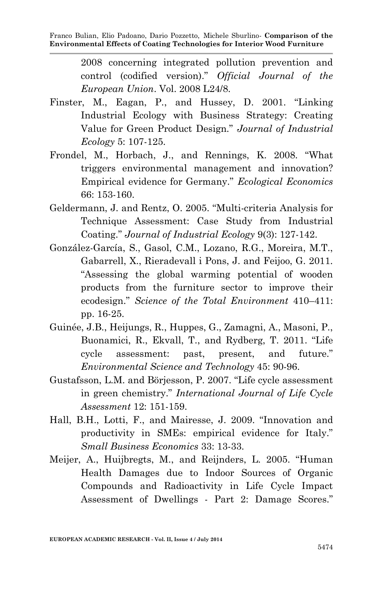2008 concerning integrated pollution prevention and control (codified version)." *Official Journal of the European Union*. Vol. 2008 L24/8.

- Finster, M., Eagan, P., and Hussey, D. 2001. "Linking Industrial Ecology with Business Strategy: Creating Value for Green Product Design." *Journal of Industrial Ecology* 5: 107-125.
- Frondel, M., Horbach, J., and Rennings, K. 2008. "What triggers environmental management and innovation? Empirical evidence for Germany." *Ecological Economics* 66: 153-160.
- Geldermann, J. and Rentz, O. 2005. "Multi-criteria Analysis for Technique Assessment: Case Study from Industrial Coating." *Journal of Industrial Ecology* 9(3): 127-142.
- González-García, S., Gasol, C.M., Lozano, R.G., Moreira, M.T., Gabarrell, X., Rieradevall i Pons, J. and Feijoo, G. 2011. "Assessing the global warming potential of wooden products from the furniture sector to improve their ecodesign." *Science of the Total Environment* 410–411: pp. 16-25.
- Guinée, J.B., Heijungs, R., Huppes, G., Zamagni, A., Masoni, P., Buonamici, R., Ekvall, T., and Rydberg, T. 2011. "Life cycle assessment: past, present, and future." *Environmental Science and Technology* 45: 90-96.
- Gustafsson, L.M. and Börjesson, P. 2007. "Life cycle assessment in green chemistry." *International Journal of Life Cycle Assessment* 12: 151-159.
- Hall, B.H., Lotti, F., and Mairesse, J. 2009. "Innovation and productivity in SMEs: empirical evidence for Italy." *Small Business Economics* 33: 13-33.
- Meijer, A., Huijbregts, M., and Reijnders, L. 2005. "Human Health Damages due to Indoor Sources of Organic Compounds and Radioactivity in Life Cycle Impact Assessment of Dwellings - Part 2: Damage Scores."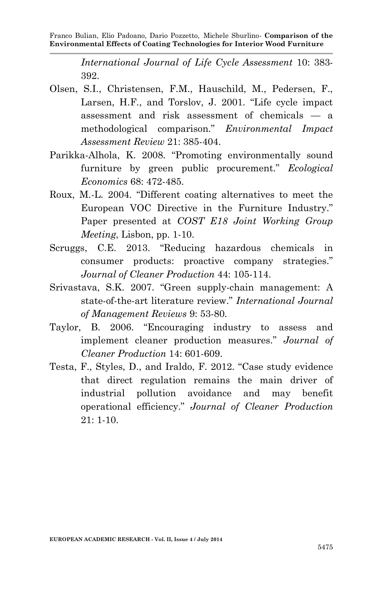*International Journal of Life Cycle Assessment* 10: 383- 392.

- Olsen, S.I., Christensen, F.M., Hauschild, M., Pedersen, F., Larsen, H.F., and Torslov, J. 2001. "Life cycle impact assessment and risk assessment of chemicals — a methodological comparison." *Environmental Impact Assessment Review* 21: 385-404.
- Parikka-Alhola, K. 2008. "Promoting environmentally sound furniture by green public procurement." *Ecological Economics* 68: 472-485.
- Roux, M.-L. 2004. "Different coating alternatives to meet the European VOC Directive in the Furniture Industry." Paper presented at *COST E18 Joint Working Group Meeting*, Lisbon, pp. 1-10.
- Scruggs, C.E. 2013. "Reducing hazardous chemicals in consumer products: proactive company strategies." *Journal of Cleaner Production* 44: 105-114.
- Srivastava, S.K. 2007. "Green supply-chain management: A state-of-the-art literature review." *International Journal of Management Reviews* 9: 53-80.
- Taylor, B. 2006. "Encouraging industry to assess and implement cleaner production measures." *Journal of Cleaner Production* 14: 601-609.
- Testa, F., Styles, D., and Iraldo, F. 2012. "Case study evidence that direct regulation remains the main driver of industrial pollution avoidance and may benefit operational efficiency." *Journal of Cleaner Production* 21: 1-10.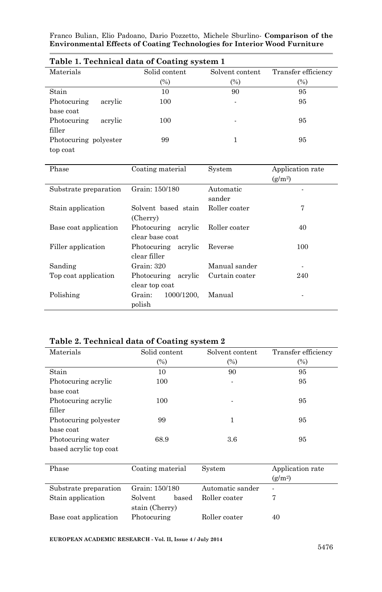| Table 1. Technical data of Coating system 1 |               |                          |                     |  |  |  |
|---------------------------------------------|---------------|--------------------------|---------------------|--|--|--|
| Materials                                   | Solid content | Solvent content          | Transfer efficiency |  |  |  |
|                                             | (%)           | (%)                      | $\frac{9}{6}$       |  |  |  |
| Stain                                       | 10            | 90                       | 95                  |  |  |  |
| Photocuring<br>acrylic                      | 100           | $\overline{\phantom{a}}$ | 95                  |  |  |  |
| base coat                                   |               |                          |                     |  |  |  |
| Photocuring<br>acrylic                      | 100           | ۰                        | 95                  |  |  |  |
| filler                                      |               |                          |                     |  |  |  |
| Photocuring polyester                       | 99            |                          | 95                  |  |  |  |
| top coat                                    |               |                          |                     |  |  |  |

|  | Table 1. Technical data of Coating system 1 |  |  |  |  |  |
|--|---------------------------------------------|--|--|--|--|--|
|--|---------------------------------------------|--|--|--|--|--|

| Phase                 | Coating material                          | System              | Application rate<br>$(g/m^2)$ |
|-----------------------|-------------------------------------------|---------------------|-------------------------------|
| Substrate preparation | Grain: 150/180                            | Automatic<br>sander |                               |
| Stain application     | Solvent based stain<br>(Cherry)           | Roller coater       | 7                             |
| Base coat application | Photocuring<br>acrylic<br>clear base coat | Roller coater       | 40                            |
| Filler application    | Photocuring acrylic<br>clear filler       | Reverse             | 100                           |
| Sanding               | Grain: 320                                | Manual sander       |                               |
| Top coat application  | Photocuring<br>acrylic<br>clear top coat  | Curtain coater      | 240                           |
| Polishing             | 1000/1200.<br>Grain:<br>polish            | Manual              |                               |

### **Table 2. Technical data of Coating system 2**

| Materials              | Solid content    | Solvent content  | Transfer efficiency |
|------------------------|------------------|------------------|---------------------|
|                        | (%)              | $(\%)$           | $\left( % \right)$  |
| Stain                  | 10               | 90               | 95                  |
| Photocuring acrylic    | 100              |                  | 95                  |
| base coat              |                  |                  |                     |
| Photocuring acrylic    | 100              |                  | 95                  |
| filler                 |                  |                  |                     |
| Photocuring polyester  | 99               | 1                | 95                  |
| base coat              |                  |                  |                     |
| Photocuring water      | 68.9             | $3.6\,$          | 95                  |
| based acrylic top coat |                  |                  |                     |
|                        |                  |                  |                     |
| Phase                  | Coating material | System           | Application rate    |
|                        |                  |                  | (g/m <sup>2</sup> ) |
| Substrate preparation  | Grain: 150/180   | Automatic sander |                     |
| Stain application      | Solvent<br>based | Roller coater    | 7                   |
|                        | stain (Cherry)   |                  |                     |

**EUROPEAN ACADEMIC RESEARCH - Vol. II, Issue 4 / July 2014**

Base coat application Photocuring Roller coater 40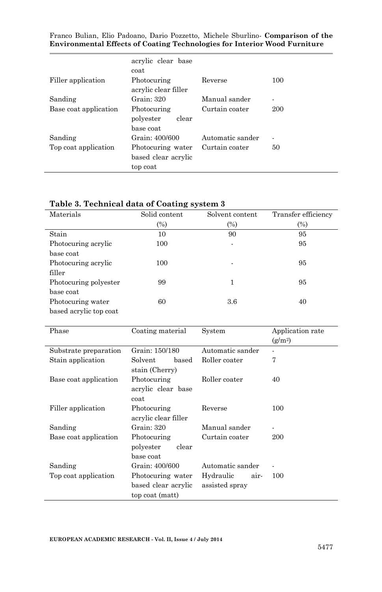|                       | acrylic clear base<br>coat                           |                  |     |
|-----------------------|------------------------------------------------------|------------------|-----|
| Filler application    | Photocuring<br>acrylic clear filler                  | Reverse          | 100 |
| Sanding               | Grain: 320                                           | Manual sander    | ٠   |
| Base coat application | Photocuring<br>polyester<br>clear<br>base coat       | Curtain coater   | 200 |
| Sanding               | Grain: 400/600                                       | Automatic sander | ۰   |
| Top coat application  | Photocuring water<br>based clear acrylic<br>top coat | Curtain coater   | 50  |

### **Table 3. Technical data of Coating system 3**

| Materials              | Solid content | Solvent content | Transfer efficiency |
|------------------------|---------------|-----------------|---------------------|
|                        | $(\%)$        | $(\%)$          | $(\%)$              |
| Stain                  | 10            | 90              | 95                  |
| Photocuring acrylic    | 100           | ٠               | 95                  |
| base coat              |               |                 |                     |
| Photocuring acrylic    | 100           |                 | 95                  |
| filler                 |               |                 |                     |
| Photocuring polyester  | 99            |                 | 95                  |
| base coat              |               |                 |                     |
| Photocuring water      | 60            | 3.6             | 40                  |
| based acrylic top coat |               |                 |                     |

| Phase                 | Coating material                                            | System                              | Application rate<br>$(g/m^2)$ |
|-----------------------|-------------------------------------------------------------|-------------------------------------|-------------------------------|
| Substrate preparation | Grain: 150/180                                              | Automatic sander                    |                               |
| Stain application     | Solvent<br>based<br>stain (Cherry)                          | Roller coater                       | 7                             |
| Base coat application | Photocuring<br>acrylic clear base<br>coat                   | Roller coater                       | 40                            |
| Filler application    | Photocuring<br>acrylic clear filler                         | Reverse                             | 100                           |
| Sanding               | Grain: 320                                                  | Manual sander                       |                               |
| Base coat application | Photocuring<br>clear<br>polyester<br>base coat              | Curtain coater                      | 200                           |
| Sanding               | Grain: 400/600                                              | Automatic sander                    |                               |
| Top coat application  | Photocuring water<br>based clear acrylic<br>top coat (matt) | Hydraulic<br>air-<br>assisted spray | 100                           |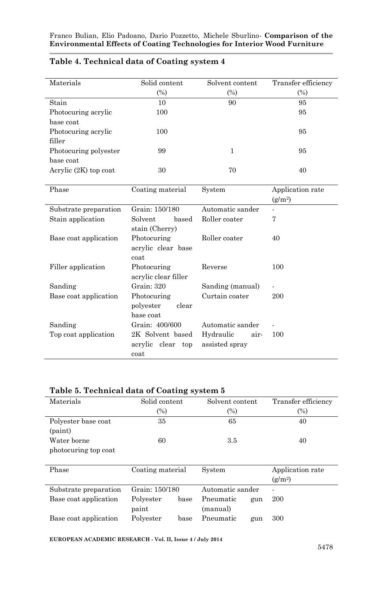| Materials               | Solid content<br>$(\%)$ | Solvent content<br>$\left(\%\right)$ | Transfer efficiency<br>(%) |
|-------------------------|-------------------------|--------------------------------------|----------------------------|
| Stain                   | 10                      | 90                                   | 95                         |
| Photocuring acrylic     | 100                     |                                      | 95                         |
| base coat               |                         |                                      |                            |
| Photocuring acrylic     | 100                     |                                      | 95                         |
| filler                  |                         |                                      |                            |
| Photocuring polyester   | 99                      | 1                                    | 95                         |
| base coat               |                         |                                      |                            |
| Acrylic $(2K)$ top coat | 30                      | 70                                   | 40                         |
|                         |                         |                                      |                            |

### **Table 4. Technical data of Coating system 4**

| Phase                 | Coating material                               | System                              | Application rate<br>$(g/m^2)$ |
|-----------------------|------------------------------------------------|-------------------------------------|-------------------------------|
| Substrate preparation | Grain: 150/180                                 | Automatic sander                    |                               |
| Stain application     | based<br>Solvent<br>stain (Cherry)             | Roller coater                       | 7                             |
| Base coat application | Photocuring<br>acrylic clear base<br>coat      | Roller coater                       | 40                            |
| Filler application    | Photocuring<br>acrylic clear filler            | Reverse                             | 100                           |
| Sanding               | Grain: 320                                     | Sanding (manual)                    | $\overline{\phantom{m}}$      |
| Base coat application | Photocuring<br>polyester<br>clear<br>base coat | Curtain coater                      | 200                           |
| Sanding               | Grain: 400/600                                 | Automatic sander                    |                               |
| Top coat application  | 2K Solvent based<br>acrylic clear top<br>coat  | Hydraulic<br>air-<br>assisted spray | 100                           |

### **Table 5. Technical data of Coating system 5**

| Materials             | Solid content     | Solvent content   | Transfer efficiency |
|-----------------------|-------------------|-------------------|---------------------|
|                       | $(\%)$            | $\left(\%\right)$ | $\left( % \right)$  |
| Polyester base coat   | 35                | 65                | 40                  |
| (paint)               |                   |                   |                     |
| Water borne           | 60                | $3.5\,$           | 40                  |
| photocuring top coat  |                   |                   |                     |
|                       |                   |                   |                     |
| Phase                 | Coating material  | System            | Application rate    |
|                       |                   |                   | (g/m <sup>2</sup> ) |
| Substrate preparation | Grain: 150/180    | Automatic sander  | ٠                   |
| Base coat application | Polyester<br>base | Pneumatic<br>gun  | 200                 |
|                       | paint             | (manual)          |                     |
| Base coat application | Polyester<br>base | Pneumatic<br>gun  | 300                 |

**EUROPEAN ACADEMIC RESEARCH - Vol. II, Issue 4 / July 2014**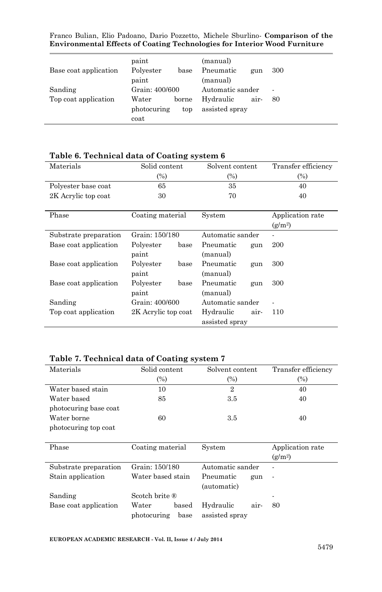| Base coat application | paint<br>Polyester<br>paint  | base         | (manual)<br>Pneumatic<br>(manual) | gun  | 300                      |
|-----------------------|------------------------------|--------------|-----------------------------------|------|--------------------------|
| Sanding               | Grain: 400/600               |              | Automatic sander                  |      | $\overline{\phantom{a}}$ |
| Top coat application  | Water<br>photocuring<br>coat | borne<br>top | Hydraulic<br>assisted spray       | air- | 80                       |

#### **Table 6. Technical data of Coating system 6**

| Materials             | Solid content       | Solvent content   | Transfer efficiency |
|-----------------------|---------------------|-------------------|---------------------|
|                       | $(\%)$              | (%)               | $\left(\%\right)$   |
| Polyester base coat   | 65                  | 35                | 40                  |
| 2K Acrylic top coat   | 30                  | 70                | 40                  |
|                       |                     |                   |                     |
| Phase                 | Coating material    | System            | Application rate    |
|                       |                     |                   | $(g/m^2)$           |
| Substrate preparation | Grain: 150/180      | Automatic sander  |                     |
| Base coat application | Polyester<br>base   | Pneumatic<br>gun  | 200                 |
|                       | paint               | (manual)          |                     |
| Base coat application | Polyester<br>base   | Pneumatic<br>gun  | 300                 |
|                       | paint               | (manual)          |                     |
| Base coat application | Polyester<br>base   | Pneumatic<br>gun  | 300                 |
|                       | paint               | (manual)          |                     |
| Sanding               | Grain: 400/600      | Automatic sander  |                     |
| Top coat application  | 2K Acrylic top coat | Hydraulic<br>air- | 110                 |
|                       |                     | assisted spray    |                     |

### **Table 7. Technical data of Coating system 7**

| Materials             | Solid content | Solvent content | Transfer efficiency |  |
|-----------------------|---------------|-----------------|---------------------|--|
|                       | $\frac{1}{2}$ | (%)             | $\frac{1}{2}$       |  |
| Water based stain     | 10            | 2               | 40                  |  |
| Water based           | 85            | $3.5\,$         | 40                  |  |
| photocuring base coat |               |                 |                     |  |
| Water borne           | 60            | 3.5             | 40                  |  |
| photocuring top coat  |               |                 |                     |  |

| Phase                 | Coating material          | System            | Application rate<br>$(g/m^2)$ |  |
|-----------------------|---------------------------|-------------------|-------------------------------|--|
| Substrate preparation | Grain: 150/180            | Automatic sander  | ۰                             |  |
| Stain application     | Water based stain         | Pneumatic<br>gun  | $\overline{\phantom{a}}$      |  |
|                       |                           | (automatic)       |                               |  |
| Sanding               | Scotch brite $\mathbb{R}$ |                   | ۰                             |  |
| Base coat application | Water<br>based            | Hydraulic<br>air- | 80                            |  |
|                       | photocuring<br>base       | assisted spray    |                               |  |

#### **EUROPEAN ACADEMIC RESEARCH - Vol. II, Issue 4 / July 2014**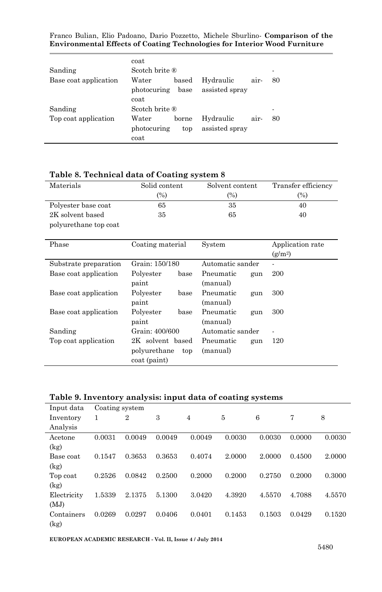| Sanding                         | coat<br>Scotch brite $\mathbb{R}$              |              |                             |      | ۰       |
|---------------------------------|------------------------------------------------|--------------|-----------------------------|------|---------|
| Base coat application           | Water<br>photocuring base<br>coat              | based        | Hydraulic<br>assisted spray | air- | 80      |
| Sanding<br>Top coat application | Scotch brite ®<br>Water<br>photocuring<br>coat | borne<br>top | Hydraulic<br>assisted spray | air- | ۰<br>80 |

### **Table 8. Technical data of Coating system 8**

| Materials             | Solid content       | Solvent content  | Transfer efficiency                     |
|-----------------------|---------------------|------------------|-----------------------------------------|
|                       | $(\%)$              | $(\%)$           | (%)                                     |
| Polyester base coat   | 65                  | 35               | 40                                      |
| 2K solvent based      | 35                  | 65               | 40                                      |
| polyurethane top coat |                     |                  |                                         |
| Phase                 | Coating material    | System           | Application rate<br>(g/m <sup>2</sup> ) |
| Substrate preparation | Grain: 150/180      | Automatic sander |                                         |
| Base coat application | Polyester<br>base   | Pneumatic<br>gun | 200                                     |
|                       | paint               | (manual)         |                                         |
| Base coat application | Polyester<br>base   | Pneumatic<br>gun | 300                                     |
|                       | paint               | (manual)         |                                         |
| Base coat application | Polyester<br>base   | Pneumatic<br>gun | 300                                     |
|                       | paint               | (manual)         |                                         |
| Sanding               | Grain: 400/600      | Automatic sander |                                         |
| Top coat application  | 2K solvent based    | Pneumatic<br>gun | 120                                     |
|                       | polyurethane<br>top | (manual)         |                                         |
|                       | coat (paint)        |                  |                                         |

#### **Table 9. Inventory analysis: input data of coating systems**

| Input data  | Coating system |                |        |        |        |        |        |        |  |  |
|-------------|----------------|----------------|--------|--------|--------|--------|--------|--------|--|--|
| Inventory   | 1              | $\overline{2}$ | 3      | 4      | 5      | 6      | 7      | 8      |  |  |
| Analysis    |                |                |        |        |        |        |        |        |  |  |
| Acetone     | 0.0031         | 0.0049         | 0.0049 | 0.0049 | 0.0030 | 0.0030 | 0.0000 | 0.0030 |  |  |
| (kg)        |                |                |        |        |        |        |        |        |  |  |
| Base coat   | 0.1547         | 0.3653         | 0.3653 | 0.4074 | 2.0000 | 2.0000 | 0.4500 | 2.0000 |  |  |
| (kg)        |                |                |        |        |        |        |        |        |  |  |
| Top coat    | 0.2526         | 0.0842         | 0.2500 | 0.2000 | 0.2000 | 0.2750 | 0.2000 | 0.3000 |  |  |
| (kg)        |                |                |        |        |        |        |        |        |  |  |
| Electricity | 1.5339         | 2.1375         | 5.1300 | 3.0420 | 4.3920 | 4.5570 | 4.7088 | 4.5570 |  |  |
| (MJ)        |                |                |        |        |        |        |        |        |  |  |
| Containers  | 0.0269         | 0.0297         | 0.0406 | 0.0401 | 0.1453 | 0.1503 | 0.0429 | 0.1520 |  |  |
| (kg)        |                |                |        |        |        |        |        |        |  |  |

**EUROPEAN ACADEMIC RESEARCH - Vol. II, Issue 4 / July 2014**